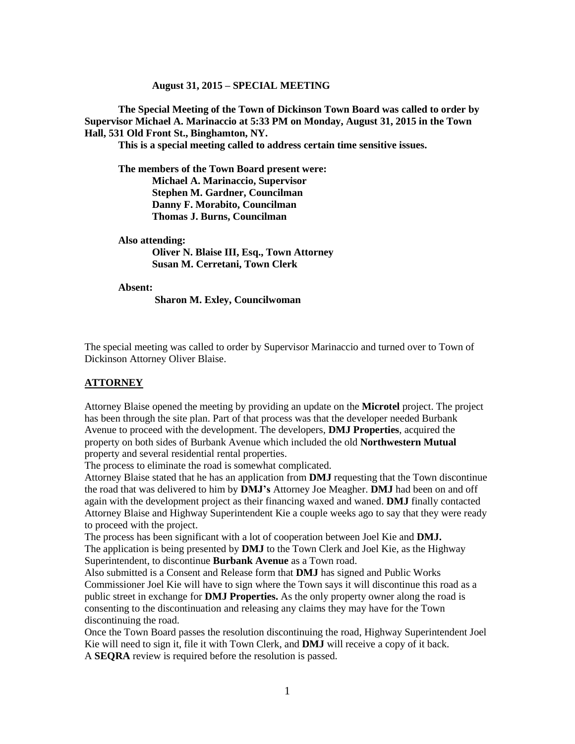#### **August 31, 2015 – SPECIAL MEETING**

**The Special Meeting of the Town of Dickinson Town Board was called to order by Supervisor Michael A. Marinaccio at 5:33 PM on Monday, August 31, 2015 in the Town Hall, 531 Old Front St., Binghamton, NY.** 

**This is a special meeting called to address certain time sensitive issues.**

**The members of the Town Board present were: Michael A. Marinaccio, Supervisor Stephen M. Gardner, Councilman Danny F. Morabito, Councilman Thomas J. Burns, Councilman**

**Also attending: Oliver N. Blaise III, Esq., Town Attorney**

**Susan M. Cerretani, Town Clerk**

**Absent:**

**Sharon M. Exley, Councilwoman**

The special meeting was called to order by Supervisor Marinaccio and turned over to Town of Dickinson Attorney Oliver Blaise.

#### **ATTORNEY**

Attorney Blaise opened the meeting by providing an update on the **Microtel** project. The project has been through the site plan. Part of that process was that the developer needed Burbank Avenue to proceed with the development. The developers, **DMJ Properties**, acquired the property on both sides of Burbank Avenue which included the old **Northwestern Mutual** property and several residential rental properties.

The process to eliminate the road is somewhat complicated.

Attorney Blaise stated that he has an application from **DMJ** requesting that the Town discontinue the road that was delivered to him by **DMJ's** Attorney Joe Meagher. **DMJ** had been on and off again with the development project as their financing waxed and waned. **DMJ** finally contacted Attorney Blaise and Highway Superintendent Kie a couple weeks ago to say that they were ready to proceed with the project.

The process has been significant with a lot of cooperation between Joel Kie and **DMJ.** The application is being presented by **DMJ** to the Town Clerk and Joel Kie, as the Highway Superintendent, to discontinue **Burbank Avenue** as a Town road.

Also submitted is a Consent and Release form that **DMJ** has signed and Public Works Commissioner Joel Kie will have to sign where the Town says it will discontinue this road as a public street in exchange for **DMJ Properties.** As the only property owner along the road is consenting to the discontinuation and releasing any claims they may have for the Town discontinuing the road.

Once the Town Board passes the resolution discontinuing the road, Highway Superintendent Joel Kie will need to sign it, file it with Town Clerk, and **DMJ** will receive a copy of it back. A **SEQRA** review is required before the resolution is passed.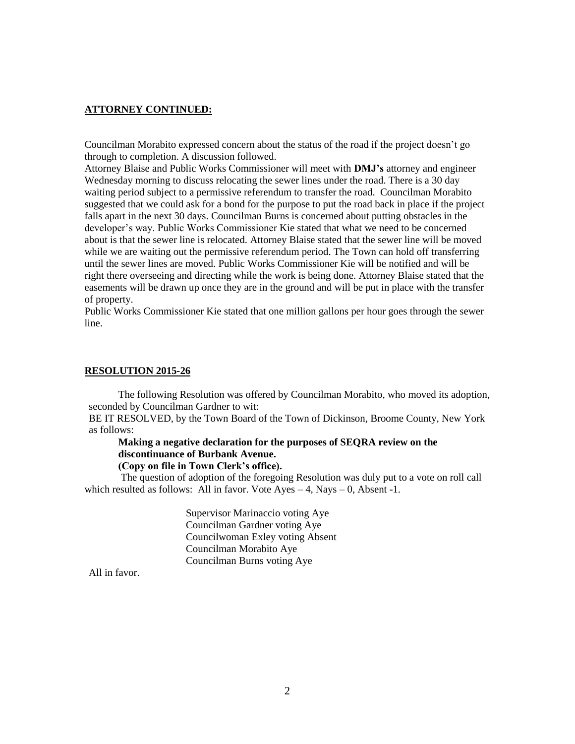## **ATTORNEY CONTINUED:**

Councilman Morabito expressed concern about the status of the road if the project doesn't go through to completion. A discussion followed.

Attorney Blaise and Public Works Commissioner will meet with **DMJ's** attorney and engineer Wednesday morning to discuss relocating the sewer lines under the road. There is a 30 day waiting period subject to a permissive referendum to transfer the road. Councilman Morabito suggested that we could ask for a bond for the purpose to put the road back in place if the project falls apart in the next 30 days. Councilman Burns is concerned about putting obstacles in the developer's way. Public Works Commissioner Kie stated that what we need to be concerned about is that the sewer line is relocated. Attorney Blaise stated that the sewer line will be moved while we are waiting out the permissive referendum period. The Town can hold off transferring until the sewer lines are moved. Public Works Commissioner Kie will be notified and will be right there overseeing and directing while the work is being done. Attorney Blaise stated that the easements will be drawn up once they are in the ground and will be put in place with the transfer of property.

Public Works Commissioner Kie stated that one million gallons per hour goes through the sewer line.

#### **RESOLUTION 2015-26**

The following Resolution was offered by Councilman Morabito, who moved its adoption, seconded by Councilman Gardner to wit:

BE IT RESOLVED, by the Town Board of the Town of Dickinson, Broome County, New York as follows:

# **Making a negative declaration for the purposes of SEQRA review on the discontinuance of Burbank Avenue.**

## **(Copy on file in Town Clerk's office).**

The question of adoption of the foregoing Resolution was duly put to a vote on roll call which resulted as follows: All in favor. Vote  $Ayes - 4$ , Nays  $- 0$ , Absent -1.

> Supervisor Marinaccio voting Aye Councilman Gardner voting Aye Councilwoman Exley voting Absent Councilman Morabito Aye Councilman Burns voting Aye

All in favor.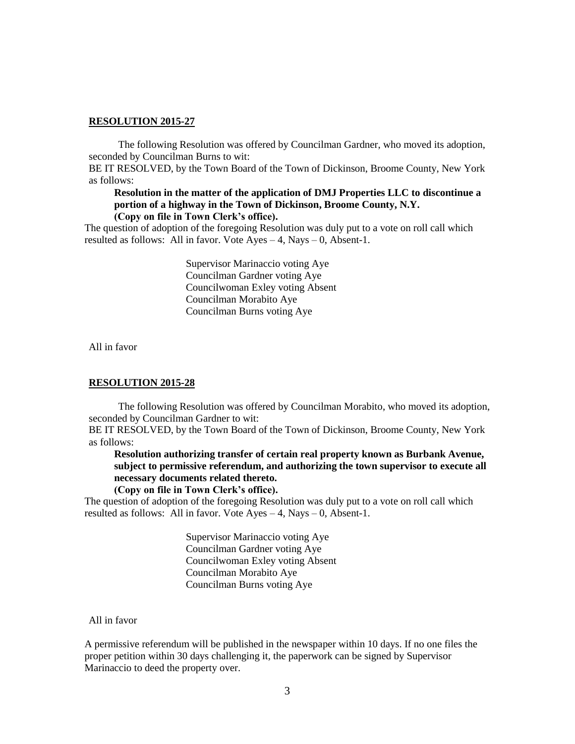#### **RESOLUTION 2015-27**

The following Resolution was offered by Councilman Gardner, who moved its adoption, seconded by Councilman Burns to wit:

BE IT RESOLVED, by the Town Board of the Town of Dickinson, Broome County, New York as follows:

## **Resolution in the matter of the application of DMJ Properties LLC to discontinue a portion of a highway in the Town of Dickinson, Broome County, N.Y. (Copy on file in Town Clerk's office).**

The question of adoption of the foregoing Resolution was duly put to a vote on roll call which resulted as follows: All in favor. Vote  $Ayes - 4$ , Nays  $- 0$ , Absent-1.

> Supervisor Marinaccio voting Aye Councilman Gardner voting Aye Councilwoman Exley voting Absent Councilman Morabito Aye Councilman Burns voting Aye

All in favor

### **RESOLUTION 2015-28**

The following Resolution was offered by Councilman Morabito, who moved its adoption, seconded by Councilman Gardner to wit:

BE IT RESOLVED, by the Town Board of the Town of Dickinson, Broome County, New York as follows:

**Resolution authorizing transfer of certain real property known as Burbank Avenue, subject to permissive referendum, and authorizing the town supervisor to execute all necessary documents related thereto.**

### **(Copy on file in Town Clerk's office).**

The question of adoption of the foregoing Resolution was duly put to a vote on roll call which resulted as follows: All in favor. Vote  $Ayes - 4$ , Nays  $- 0$ , Absent-1.

> Supervisor Marinaccio voting Aye Councilman Gardner voting Aye Councilwoman Exley voting Absent Councilman Morabito Aye Councilman Burns voting Aye

## All in favor

A permissive referendum will be published in the newspaper within 10 days. If no one files the proper petition within 30 days challenging it, the paperwork can be signed by Supervisor Marinaccio to deed the property over.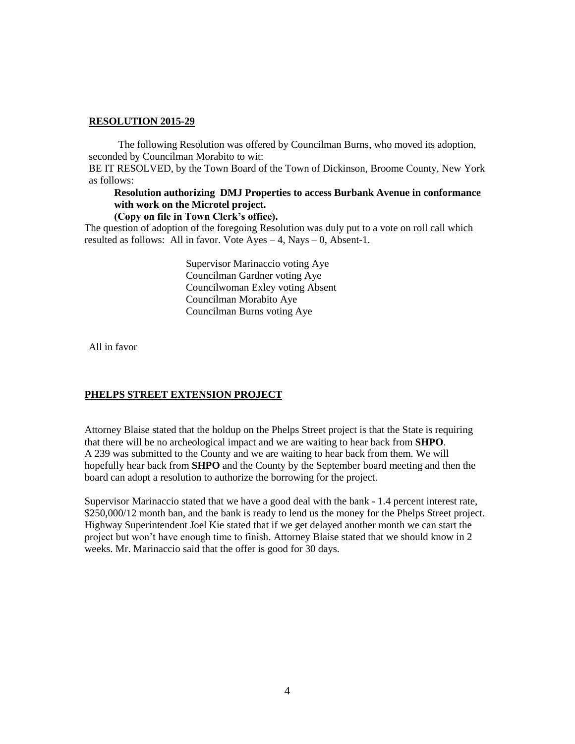# **RESOLUTION 2015-29**

The following Resolution was offered by Councilman Burns, who moved its adoption, seconded by Councilman Morabito to wit:

BE IT RESOLVED, by the Town Board of the Town of Dickinson, Broome County, New York as follows:

# **Resolution authorizing DMJ Properties to access Burbank Avenue in conformance with work on the Microtel project.**

#### **(Copy on file in Town Clerk's office).**

The question of adoption of the foregoing Resolution was duly put to a vote on roll call which resulted as follows: All in favor. Vote  $Ayes - 4$ , Nays  $- 0$ , Absent-1.

> Supervisor Marinaccio voting Aye Councilman Gardner voting Aye Councilwoman Exley voting Absent Councilman Morabito Aye Councilman Burns voting Aye

All in favor

# **PHELPS STREET EXTENSION PROJECT**

Attorney Blaise stated that the holdup on the Phelps Street project is that the State is requiring that there will be no archeological impact and we are waiting to hear back from **SHPO**. A 239 was submitted to the County and we are waiting to hear back from them. We will hopefully hear back from **SHPO** and the County by the September board meeting and then the board can adopt a resolution to authorize the borrowing for the project.

Supervisor Marinaccio stated that we have a good deal with the bank - 1.4 percent interest rate, \$250,000/12 month ban, and the bank is ready to lend us the money for the Phelps Street project. Highway Superintendent Joel Kie stated that if we get delayed another month we can start the project but won't have enough time to finish. Attorney Blaise stated that we should know in 2 weeks. Mr. Marinaccio said that the offer is good for 30 days.